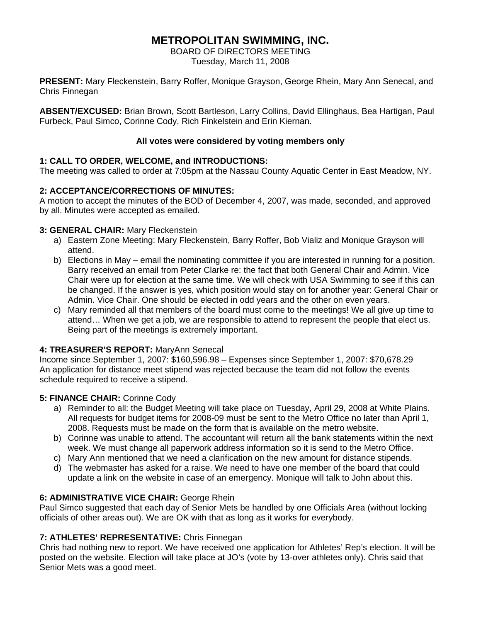# **METROPOLITAN SWIMMING, INC.**

BOARD OF DIRECTORS MEETING Tuesday, March 11, 2008

**PRESENT:** Mary Fleckenstein, Barry Roffer, Monique Grayson, George Rhein, Mary Ann Senecal, and Chris Finnegan

**ABSENT/EXCUSED:** Brian Brown, Scott Bartleson, Larry Collins, David Ellinghaus, Bea Hartigan, Paul Furbeck, Paul Simco, Corinne Cody, Rich Finkelstein and Erin Kiernan.

### **All votes were considered by voting members only**

# **1: CALL TO ORDER, WELCOME, and INTRODUCTIONS:**

The meeting was called to order at 7:05pm at the Nassau County Aquatic Center in East Meadow, NY.

# **2: ACCEPTANCE/CORRECTIONS OF MINUTES:**

A motion to accept the minutes of the BOD of December 4, 2007, was made, seconded, and approved by all. Minutes were accepted as emailed.

# **3: GENERAL CHAIR:** Mary Fleckenstein

- a) Eastern Zone Meeting: Mary Fleckenstein, Barry Roffer, Bob Vializ and Monique Grayson will attend.
- b) Elections in May email the nominating committee if you are interested in running for a position. Barry received an email from Peter Clarke re: the fact that both General Chair and Admin. Vice Chair were up for election at the same time. We will check with USA Swimming to see if this can be changed. If the answer is yes, which position would stay on for another year: General Chair or Admin. Vice Chair. One should be elected in odd years and the other on even years.
- c) Mary reminded all that members of the board must come to the meetings! We all give up time to attend… When we get a job, we are responsible to attend to represent the people that elect us. Being part of the meetings is extremely important.

# **4: TREASURER'S REPORT:** MaryAnn Senecal

Income since September 1, 2007: \$160,596.98 – Expenses since September 1, 2007: \$70,678.29 An application for distance meet stipend was rejected because the team did not follow the events schedule required to receive a stipend.

# **5: FINANCE CHAIR:** Corinne Cody

- a) Reminder to all: the Budget Meeting will take place on Tuesday, April 29, 2008 at White Plains. All requests for budget items for 2008-09 must be sent to the Metro Office no later than April 1, 2008. Requests must be made on the form that is available on the metro website.
- b) Corinne was unable to attend. The accountant will return all the bank statements within the next week. We must change all paperwork address information so it is send to the Metro Office.
- c) Mary Ann mentioned that we need a clarification on the new amount for distance stipends.
- d) The webmaster has asked for a raise. We need to have one member of the board that could update a link on the website in case of an emergency. Monique will talk to John about this.

# **6: ADMINISTRATIVE VICE CHAIR:** George Rhein

Paul Simco suggested that each day of Senior Mets be handled by one Officials Area (without locking officials of other areas out). We are OK with that as long as it works for everybody.

# **7: ATHLETES' REPRESENTATIVE:** Chris Finnegan

Chris had nothing new to report. We have received one application for Athletes' Rep's election. It will be posted on the website. Election will take place at JO's (vote by 13-over athletes only). Chris said that Senior Mets was a good meet.